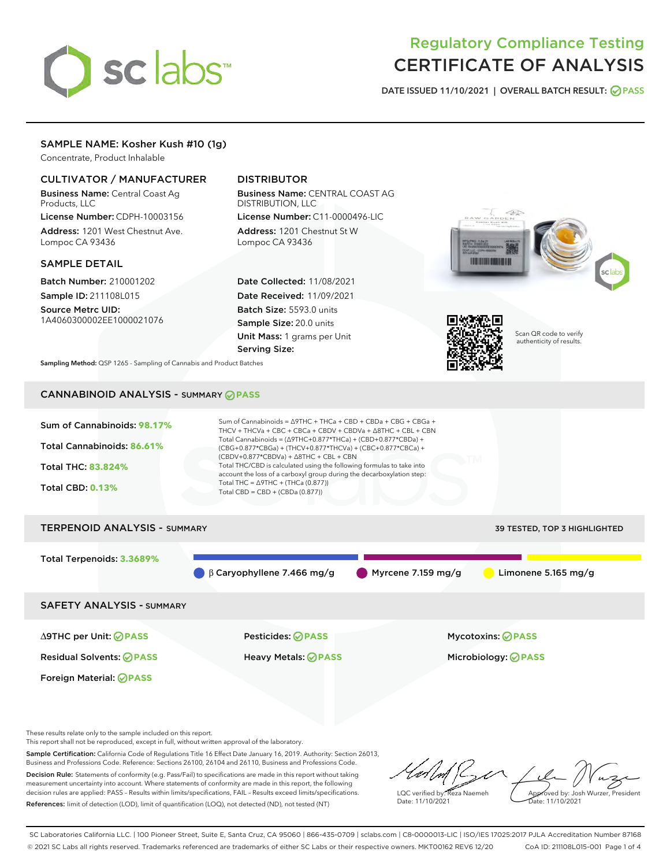# sclabs<sup>\*</sup>

# Regulatory Compliance Testing CERTIFICATE OF ANALYSIS

DATE ISSUED 11/10/2021 | OVERALL BATCH RESULT: @ PASS

# SAMPLE NAME: Kosher Kush #10 (1g)

Concentrate, Product Inhalable

# CULTIVATOR / MANUFACTURER

Business Name: Central Coast Ag Products, LLC

License Number: CDPH-10003156 Address: 1201 West Chestnut Ave. Lompoc CA 93436

# SAMPLE DETAIL

Batch Number: 210001202 Sample ID: 211108L015

Source Metrc UID: 1A4060300002EE1000021076

# DISTRIBUTOR

Business Name: CENTRAL COAST AG DISTRIBUTION, LLC License Number: C11-0000496-LIC

Address: 1201 Chestnut St W Lompoc CA 93436

Date Collected: 11/08/2021 Date Received: 11/09/2021 Batch Size: 5593.0 units Sample Size: 20.0 units Unit Mass: 1 grams per Unit Serving Size:





Scan QR code to verify authenticity of results.

Sampling Method: QSP 1265 - Sampling of Cannabis and Product Batches

# CANNABINOID ANALYSIS - SUMMARY **PASS**



Foreign Material: **PASS**

Residual Solvents: **PASS** Heavy Metals: **PASS** Microbiology: **PASS**

These results relate only to the sample included on this report.

This report shall not be reproduced, except in full, without written approval of the laboratory.

Sample Certification: California Code of Regulations Title 16 Effect Date January 16, 2019. Authority: Section 26013, Business and Professions Code. Reference: Sections 26100, 26104 and 26110, Business and Professions Code. Decision Rule: Statements of conformity (e.g. Pass/Fail) to specifications are made in this report without taking measurement uncertainty into account. Where statements of conformity are made in this report, the following decision rules are applied: PASS – Results within limits/specifications, FAIL – Results exceed limits/specifications.

References: limit of detection (LOD), limit of quantification (LOQ), not detected (ND), not tested (NT)

LQC verified by: Reza Naemeh Date: 11/10/2021 Approved by: Josh Wurzer, President Date: 11/10/2021

SC Laboratories California LLC. | 100 Pioneer Street, Suite E, Santa Cruz, CA 95060 | 866-435-0709 | sclabs.com | C8-0000013-LIC | ISO/IES 17025:2017 PJLA Accreditation Number 87168 © 2021 SC Labs all rights reserved. Trademarks referenced are trademarks of either SC Labs or their respective owners. MKT00162 REV6 12/20 CoA ID: 211108L015-001 Page 1 of 4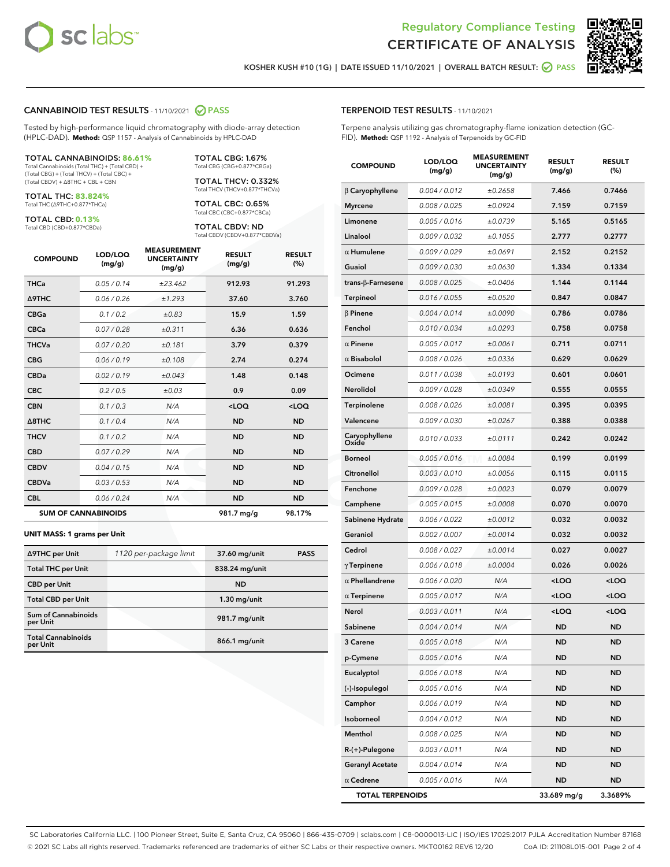



KOSHER KUSH #10 (1G) | DATE ISSUED 11/10/2021 | OVERALL BATCH RESULT: **O PASS** 

#### CANNABINOID TEST RESULTS - 11/10/2021 2 PASS

Tested by high-performance liquid chromatography with diode-array detection (HPLC-DAD). **Method:** QSP 1157 - Analysis of Cannabinoids by HPLC-DAD

#### TOTAL CANNABINOIDS: **86.61%**

Total Cannabinoids (Total THC) + (Total CBD) + (Total CBG) + (Total THCV) + (Total CBC) + (Total CBDV) + ∆8THC + CBL + CBN

TOTAL THC: **83.824%** Total THC (∆9THC+0.877\*THCa)

TOTAL CBD: **0.13%**

Total CBD (CBD+0.877\*CBDa)

TOTAL CBG: 1.67% Total CBG (CBG+0.877\*CBGa)

TOTAL THCV: 0.332% Total THCV (THCV+0.877\*THCVa)

TOTAL CBC: 0.65% Total CBC (CBC+0.877\*CBCa)

TOTAL CBDV: ND Total CBDV (CBDV+0.877\*CBDVa)

| <b>COMPOUND</b>            | LOD/LOQ<br>(mg/g) | <b>MEASUREMENT</b><br><b>UNCERTAINTY</b><br>(mg/g) | <b>RESULT</b><br>(mg/g) | <b>RESULT</b><br>(%) |
|----------------------------|-------------------|----------------------------------------------------|-------------------------|----------------------|
| <b>THCa</b>                | 0.05/0.14         | ±23.462                                            | 912.93                  | 91.293               |
| <b>A9THC</b>               | 0.06 / 0.26       | ±1.293                                             | 37.60                   | 3.760                |
| <b>CBGa</b>                | 0.1 / 0.2         | ±0.83                                              | 15.9                    | 1.59                 |
| <b>CBCa</b>                | 0.07/0.28         | ±0.311                                             | 6.36                    | 0.636                |
| <b>THCVa</b>               | 0.07 / 0.20       | ±0.181                                             | 3.79                    | 0.379                |
| <b>CBG</b>                 | 0.06/0.19         | ±0.108                                             | 2.74                    | 0.274                |
| <b>CBDa</b>                | 0.02/0.19         | ±0.043                                             | 1.48                    | 0.148                |
| <b>CBC</b>                 | 0.2 / 0.5         | ±0.03                                              | 0.9                     | 0.09                 |
| <b>CBN</b>                 | 0.1/0.3           | N/A                                                | $<$ LOQ                 | $<$ LOQ              |
| $\triangle$ 8THC           | 0.1/0.4           | N/A                                                | <b>ND</b>               | <b>ND</b>            |
| <b>THCV</b>                | 0.1/0.2           | N/A                                                | <b>ND</b>               | <b>ND</b>            |
| <b>CBD</b>                 | 0.07/0.29         | N/A                                                | <b>ND</b>               | <b>ND</b>            |
| <b>CBDV</b>                | 0.04 / 0.15       | N/A                                                | <b>ND</b>               | <b>ND</b>            |
| <b>CBDVa</b>               | 0.03 / 0.53       | N/A                                                | <b>ND</b>               | <b>ND</b>            |
| <b>CBL</b>                 | 0.06 / 0.24       | N/A                                                | <b>ND</b>               | <b>ND</b>            |
| <b>SUM OF CANNABINOIDS</b> |                   |                                                    | 981.7 mg/g              | 98.17%               |

#### **UNIT MASS: 1 grams per Unit**

| ∆9THC per Unit                        | 1120 per-package limit | 37.60 mg/unit  | <b>PASS</b> |
|---------------------------------------|------------------------|----------------|-------------|
| <b>Total THC per Unit</b>             |                        | 838.24 mg/unit |             |
| <b>CBD</b> per Unit                   |                        | <b>ND</b>      |             |
| <b>Total CBD per Unit</b>             |                        | $1.30$ mg/unit |             |
| Sum of Cannabinoids<br>per Unit       |                        | 981.7 mg/unit  |             |
| <b>Total Cannabinoids</b><br>per Unit |                        | 866.1 mg/unit  |             |

#### TERPENOID TEST RESULTS - 11/10/2021

Terpene analysis utilizing gas chromatography-flame ionization detection (GC-FID). **Method:** QSP 1192 - Analysis of Terpenoids by GC-FID

| <b>COMPOUND</b>          | LOD/LOQ<br>(mg/g) | <b>MEASUREMENT</b><br><b>UNCERTAINTY</b><br>(mg/g) | <b>RESULT</b><br>(mg/g)                         | <b>RESULT</b><br>(%) |
|--------------------------|-------------------|----------------------------------------------------|-------------------------------------------------|----------------------|
| $\beta$ Caryophyllene    | 0.004 / 0.012     | ±0.2658                                            | 7.466                                           | 0.7466               |
| <b>Myrcene</b>           | 0.008 / 0.025     | ±0.0924                                            | 7.159                                           | 0.7159               |
| Limonene                 | 0.005 / 0.016     | ±0.0739                                            | 5.165                                           | 0.5165               |
| Linalool                 | 0.009 / 0.032     | ±0.1055                                            | 2.777                                           | 0.2777               |
| $\alpha$ Humulene        | 0.009/0.029       | ±0.0691                                            | 2.152                                           | 0.2152               |
| Guaiol                   | 0.009 / 0.030     | ±0.0630                                            | 1.334                                           | 0.1334               |
| $trans-\beta$ -Farnesene | 0.008 / 0.025     | ±0.0406                                            | 1.144                                           | 0.1144               |
| Terpineol                | 0.016 / 0.055     | ±0.0520                                            | 0.847                                           | 0.0847               |
| $\beta$ Pinene           | 0.004 / 0.014     | ±0.0090                                            | 0.786                                           | 0.0786               |
| Fenchol                  | 0.010 / 0.034     | ±0.0293                                            | 0.758                                           | 0.0758               |
| $\alpha$ Pinene          | 0.005 / 0.017     | ±0.0061                                            | 0.711                                           | 0.0711               |
| $\alpha$ Bisabolol       | 0.008 / 0.026     | ±0.0336                                            | 0.629                                           | 0.0629               |
| Ocimene                  | 0.011 / 0.038     | ±0.0193                                            | 0.601                                           | 0.0601               |
| Nerolidol                | 0.009 / 0.028     | ±0.0349                                            | 0.555                                           | 0.0555               |
| Terpinolene              | 0.008 / 0.026     | ±0.0081                                            | 0.395                                           | 0.0395               |
| Valencene                | 0.009 / 0.030     | ±0.0267                                            | 0.388                                           | 0.0388               |
| Caryophyllene<br>Oxide   | 0.010 / 0.033     | ±0.0111                                            | 0.242                                           | 0.0242               |
| <b>Borneol</b>           | 0.005 / 0.016     | ±0.0084                                            | 0.199                                           | 0.0199               |
| Citronellol              | 0.003 / 0.010     | ±0.0056                                            | 0.115                                           | 0.0115               |
| Fenchone                 | 0.009 / 0.028     | ±0.0023                                            | 0.079                                           | 0.0079               |
| Camphene                 | 0.005 / 0.015     | ±0.0008                                            | 0.070                                           | 0.0070               |
| Sabinene Hydrate         | 0.006 / 0.022     | ±0.0012                                            | 0.032                                           | 0.0032               |
| Geraniol                 | 0.002 / 0.007     | ±0.0014                                            | 0.032                                           | 0.0032               |
| Cedrol                   | 0.008 / 0.027     | ±0.0014                                            | 0.027                                           | 0.0027               |
| $\gamma$ Terpinene       | 0.006 / 0.018     | ±0.0004                                            | 0.026                                           | 0.0026               |
| $\alpha$ Phellandrene    | 0.006 / 0.020     | N/A                                                | <loq< th=""><th><loq< th=""></loq<></th></loq<> | <loq< th=""></loq<>  |
| $\alpha$ Terpinene       | 0.005 / 0.017     | N/A                                                | <loq< th=""><th><loq< th=""></loq<></th></loq<> | <loq< th=""></loq<>  |
| Nerol                    | 0.003 / 0.011     | N/A                                                | <loq< th=""><th><loq< th=""></loq<></th></loq<> | <loq< th=""></loq<>  |
| Sabinene                 | 0.004 / 0.014     | N/A                                                | ND                                              | <b>ND</b>            |
| 3 Carene                 | 0.005 / 0.018     | N/A                                                | <b>ND</b>                                       | <b>ND</b>            |
| p-Cymene                 | 0.005 / 0.016     | N/A                                                | ND                                              | ND                   |
| Eucalyptol               | 0.006 / 0.018     | N/A                                                | ND                                              | ND                   |
| (-)-Isopulegol           | 0.005 / 0.016     | N/A                                                | <b>ND</b>                                       | ND                   |
| Camphor                  | 0.006 / 0.019     | N/A                                                | <b>ND</b>                                       | <b>ND</b>            |
| Isoborneol               | 0.004 / 0.012     | N/A                                                | ND                                              | ND                   |
| Menthol                  | 0.008 / 0.025     | N/A                                                | ND                                              | ND                   |
| R-(+)-Pulegone           | 0.003 / 0.011     | N/A                                                | <b>ND</b>                                       | <b>ND</b>            |
| <b>Geranyl Acetate</b>   | 0.004 / 0.014     | N/A                                                | ND                                              | ND                   |
| $\alpha$ Cedrene         | 0.005 / 0.016     | N/A                                                | <b>ND</b>                                       | ND                   |
| <b>TOTAL TERPENOIDS</b>  |                   |                                                    | 33.689 mg/g                                     | 3.3689%              |

SC Laboratories California LLC. | 100 Pioneer Street, Suite E, Santa Cruz, CA 95060 | 866-435-0709 | sclabs.com | C8-0000013-LIC | ISO/IES 17025:2017 PJLA Accreditation Number 87168 © 2021 SC Labs all rights reserved. Trademarks referenced are trademarks of either SC Labs or their respective owners. MKT00162 REV6 12/20 CoA ID: 211108L015-001 Page 2 of 4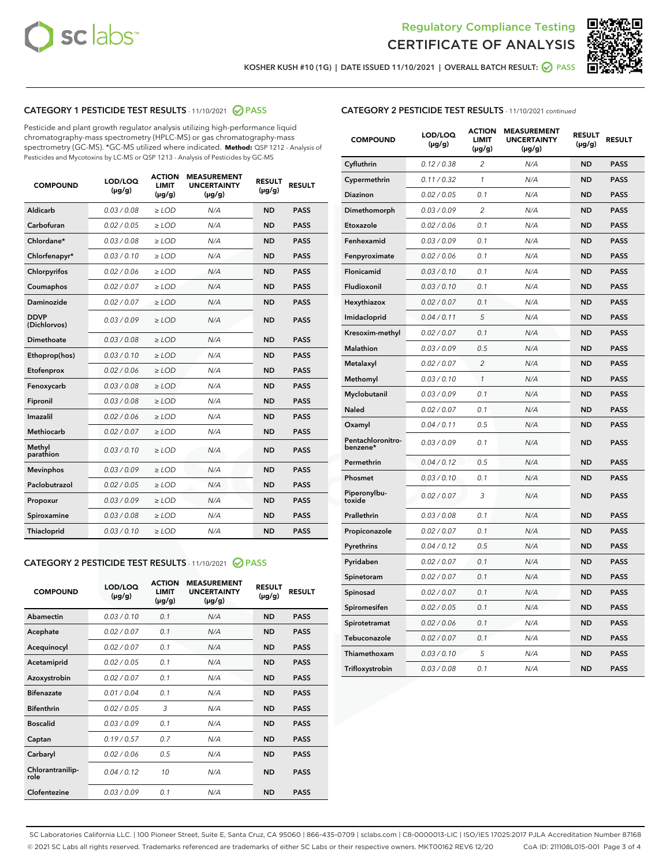



KOSHER KUSH #10 (1G) | DATE ISSUED 11/10/2021 | OVERALL BATCH RESULT: @ PASS

# CATEGORY 1 PESTICIDE TEST RESULTS - 11/10/2021 @ PASS

Pesticide and plant growth regulator analysis utilizing high-performance liquid chromatography-mass spectrometry (HPLC-MS) or gas chromatography-mass spectrometry (GC-MS). \*GC-MS utilized where indicated. **Method:** QSP 1212 - Analysis of Pesticides and Mycotoxins by LC-MS or QSP 1213 - Analysis of Pesticides by GC-MS

| <b>COMPOUND</b>             | LOD/LOQ<br>$(\mu g/g)$ | <b>ACTION</b><br><b>LIMIT</b><br>$(\mu g/g)$ | <b>MEASUREMENT</b><br><b>UNCERTAINTY</b><br>$(\mu g/g)$ | <b>RESULT</b><br>$(\mu g/g)$ | <b>RESULT</b> |
|-----------------------------|------------------------|----------------------------------------------|---------------------------------------------------------|------------------------------|---------------|
| Aldicarb                    | 0.03 / 0.08            | $\geq$ LOD                                   | N/A                                                     | <b>ND</b>                    | <b>PASS</b>   |
| Carbofuran                  | 0.02/0.05              | $>$ LOD                                      | N/A                                                     | <b>ND</b>                    | <b>PASS</b>   |
| Chlordane*                  | 0.03 / 0.08            | $\ge$ LOD                                    | N/A                                                     | <b>ND</b>                    | <b>PASS</b>   |
| Chlorfenapyr*               | 0.03/0.10              | $>$ LOD                                      | N/A                                                     | <b>ND</b>                    | <b>PASS</b>   |
| Chlorpyrifos                | 0.02 / 0.06            | $\ge$ LOD                                    | N/A                                                     | <b>ND</b>                    | <b>PASS</b>   |
| Coumaphos                   | 0.02 / 0.07            | $\ge$ LOD                                    | N/A                                                     | <b>ND</b>                    | <b>PASS</b>   |
| Daminozide                  | 0.02 / 0.07            | $\ge$ LOD                                    | N/A                                                     | <b>ND</b>                    | <b>PASS</b>   |
| <b>DDVP</b><br>(Dichlorvos) | 0.03/0.09              | $\ge$ LOD                                    | N/A                                                     | <b>ND</b>                    | <b>PASS</b>   |
| Dimethoate                  | 0.03/0.08              | $>$ LOD                                      | N/A                                                     | <b>ND</b>                    | <b>PASS</b>   |
| Ethoprop(hos)               | 0.03/0.10              | $\ge$ LOD                                    | N/A                                                     | <b>ND</b>                    | <b>PASS</b>   |
| Etofenprox                  | 0.02 / 0.06            | $\ge$ LOD                                    | N/A                                                     | <b>ND</b>                    | <b>PASS</b>   |
| Fenoxycarb                  | 0.03 / 0.08            | $\ge$ LOD                                    | N/A                                                     | <b>ND</b>                    | <b>PASS</b>   |
| Fipronil                    | 0.03/0.08              | $>$ LOD                                      | N/A                                                     | <b>ND</b>                    | <b>PASS</b>   |
| Imazalil                    | 0.02 / 0.06            | $\ge$ LOD                                    | N/A                                                     | <b>ND</b>                    | <b>PASS</b>   |
| <b>Methiocarb</b>           | 0.02 / 0.07            | $\ge$ LOD                                    | N/A                                                     | <b>ND</b>                    | <b>PASS</b>   |
| Methyl<br>parathion         | 0.03/0.10              | $\ge$ LOD                                    | N/A                                                     | <b>ND</b>                    | <b>PASS</b>   |
| <b>Mevinphos</b>            | 0.03/0.09              | $>$ LOD                                      | N/A                                                     | <b>ND</b>                    | <b>PASS</b>   |
| Paclobutrazol               | 0.02 / 0.05            | $\ge$ LOD                                    | N/A                                                     | <b>ND</b>                    | <b>PASS</b>   |
| Propoxur                    | 0.03/0.09              | $\ge$ LOD                                    | N/A                                                     | <b>ND</b>                    | <b>PASS</b>   |
| Spiroxamine                 | 0.03 / 0.08            | $\ge$ LOD                                    | N/A                                                     | <b>ND</b>                    | <b>PASS</b>   |
| Thiacloprid                 | 0.03/0.10              | $\ge$ LOD                                    | N/A                                                     | <b>ND</b>                    | <b>PASS</b>   |

# CATEGORY 2 PESTICIDE TEST RESULTS - 11/10/2021 @ PASS

| <b>COMPOUND</b>          | LOD/LOO<br>$(\mu g/g)$ | <b>ACTION</b><br>LIMIT<br>$(\mu g/g)$ | <b>MEASUREMENT</b><br><b>UNCERTAINTY</b><br>$(\mu g/g)$ | <b>RESULT</b><br>$(\mu g/g)$ | <b>RESULT</b> |  |
|--------------------------|------------------------|---------------------------------------|---------------------------------------------------------|------------------------------|---------------|--|
| Abamectin                | 0.03/0.10              | 0.1                                   | N/A                                                     | <b>ND</b>                    | <b>PASS</b>   |  |
| Acephate                 | 0.02/0.07              | 0.1                                   | N/A                                                     | <b>ND</b>                    | <b>PASS</b>   |  |
| Acequinocyl              | 0.02/0.07              | 0.1                                   | N/A                                                     | <b>ND</b>                    | <b>PASS</b>   |  |
| Acetamiprid              | 0.02 / 0.05            | 0.1                                   | N/A                                                     | <b>ND</b>                    | <b>PASS</b>   |  |
| Azoxystrobin             | 0.02/0.07              | 0.1                                   | N/A                                                     | <b>ND</b>                    | <b>PASS</b>   |  |
| <b>Bifenazate</b>        | 0.01 / 0.04            | 0.1                                   | N/A                                                     | <b>ND</b>                    | <b>PASS</b>   |  |
| <b>Bifenthrin</b>        | 0.02 / 0.05            | 3                                     | N/A                                                     | <b>ND</b>                    | <b>PASS</b>   |  |
| <b>Boscalid</b>          | 0.03/0.09              | 0.1                                   | N/A                                                     | <b>ND</b>                    | <b>PASS</b>   |  |
| Captan                   | 0.19/0.57              | 0.7                                   | N/A                                                     | <b>ND</b>                    | <b>PASS</b>   |  |
| Carbaryl                 | 0.02/0.06              | 0.5                                   | N/A                                                     | <b>ND</b>                    | <b>PASS</b>   |  |
| Chlorantranilip-<br>role | 0.04/0.12              | 10                                    | N/A                                                     | <b>ND</b>                    | <b>PASS</b>   |  |
| Clofentezine             | 0.03/0.09              | 0.1                                   | N/A                                                     | <b>ND</b>                    | <b>PASS</b>   |  |

# CATEGORY 2 PESTICIDE TEST RESULTS - 11/10/2021 continued

| <b>COMPOUND</b>               | LOD/LOQ<br>(µg/g) | <b>ACTION</b><br><b>LIMIT</b><br>$(\mu g/g)$ | <b>MEASUREMENT</b><br><b>UNCERTAINTY</b><br>$(\mu g/g)$ | <b>RESULT</b><br>(µg/g) | <b>RESULT</b> |
|-------------------------------|-------------------|----------------------------------------------|---------------------------------------------------------|-------------------------|---------------|
| Cyfluthrin                    | 0.12 / 0.38       | $\overline{c}$                               | N/A                                                     | <b>ND</b>               | <b>PASS</b>   |
| Cypermethrin                  | 0.11 / 0.32       | 1                                            | N/A                                                     | ND                      | <b>PASS</b>   |
| <b>Diazinon</b>               | 0.02 / 0.05       | 0.1                                          | N/A                                                     | ND                      | <b>PASS</b>   |
| Dimethomorph                  | 0.03 / 0.09       | 2                                            | N/A                                                     | ND                      | PASS          |
| Etoxazole                     | 0.02 / 0.06       | 0.1                                          | N/A                                                     | ND                      | <b>PASS</b>   |
| Fenhexamid                    | 0.03 / 0.09       | 0.1                                          | N/A                                                     | <b>ND</b>               | <b>PASS</b>   |
| Fenpyroximate                 | 0.02 / 0.06       | 0.1                                          | N/A                                                     | ND                      | <b>PASS</b>   |
| Flonicamid                    | 0.03 / 0.10       | 0.1                                          | N/A                                                     | ND                      | <b>PASS</b>   |
| Fludioxonil                   | 0.03 / 0.10       | 0.1                                          | N/A                                                     | <b>ND</b>               | <b>PASS</b>   |
| Hexythiazox                   | 0.02 / 0.07       | 0.1                                          | N/A                                                     | <b>ND</b>               | <b>PASS</b>   |
| Imidacloprid                  | 0.04 / 0.11       | 5                                            | N/A                                                     | ND                      | <b>PASS</b>   |
| Kresoxim-methyl               | 0.02 / 0.07       | 0.1                                          | N/A                                                     | <b>ND</b>               | <b>PASS</b>   |
| <b>Malathion</b>              | 0.03 / 0.09       | 0.5                                          | N/A                                                     | <b>ND</b>               | <b>PASS</b>   |
| Metalaxyl                     | 0.02 / 0.07       | $\overline{c}$                               | N/A                                                     | ND                      | <b>PASS</b>   |
| Methomyl                      | 0.03 / 0.10       | 1                                            | N/A                                                     | <b>ND</b>               | <b>PASS</b>   |
| Myclobutanil                  | 0.03 / 0.09       | 0.1                                          | N/A                                                     | ND                      | <b>PASS</b>   |
| Naled                         | 0.02 / 0.07       | 0.1                                          | N/A                                                     | ND                      | <b>PASS</b>   |
| Oxamyl                        | 0.04 / 0.11       | 0.5                                          | N/A                                                     | ND                      | PASS          |
| Pentachloronitro-<br>benzene* | 0.03 / 0.09       | 0.1                                          | N/A                                                     | ND                      | <b>PASS</b>   |
| Permethrin                    | 0.04 / 0.12       | 0.5                                          | N/A                                                     | ND                      | <b>PASS</b>   |
| Phosmet                       | 0.03 / 0.10       | 0.1                                          | N/A                                                     | <b>ND</b>               | <b>PASS</b>   |
| Piperonylbu-<br>toxide        | 0.02 / 0.07       | 3                                            | N/A                                                     | ND                      | <b>PASS</b>   |
| Prallethrin                   | 0.03 / 0.08       | 0.1                                          | N/A                                                     | <b>ND</b>               | <b>PASS</b>   |
| Propiconazole                 | 0.02 / 0.07       | 0.1                                          | N/A                                                     | ND                      | <b>PASS</b>   |
| Pyrethrins                    | 0.04 / 0.12       | 0.5                                          | N/A                                                     | ND                      | <b>PASS</b>   |
| Pyridaben                     | 0.02 / 0.07       | 0.1                                          | N/A                                                     | ND                      | <b>PASS</b>   |
| Spinetoram                    | 0.02 / 0.07       | 0.1                                          | N/A                                                     | <b>ND</b>               | PASS          |
| Spinosad                      | 0.02 / 0.07       | 0.1                                          | N/A                                                     | ND                      | <b>PASS</b>   |
| Spiromesifen                  | 0.02 / 0.05       | 0.1                                          | N/A                                                     | <b>ND</b>               | <b>PASS</b>   |
| Spirotetramat                 | 0.02 / 0.06       | 0.1                                          | N/A                                                     | ND                      | <b>PASS</b>   |
| Tebuconazole                  | 0.02 / 0.07       | 0.1                                          | N/A                                                     | ND                      | <b>PASS</b>   |
| Thiamethoxam                  | 0.03 / 0.10       | 5                                            | N/A                                                     | <b>ND</b>               | <b>PASS</b>   |
| Trifloxystrobin               | 0.03 / 0.08       | 0.1                                          | N/A                                                     | <b>ND</b>               | <b>PASS</b>   |

SC Laboratories California LLC. | 100 Pioneer Street, Suite E, Santa Cruz, CA 95060 | 866-435-0709 | sclabs.com | C8-0000013-LIC | ISO/IES 17025:2017 PJLA Accreditation Number 87168 © 2021 SC Labs all rights reserved. Trademarks referenced are trademarks of either SC Labs or their respective owners. MKT00162 REV6 12/20 CoA ID: 211108L015-001 Page 3 of 4